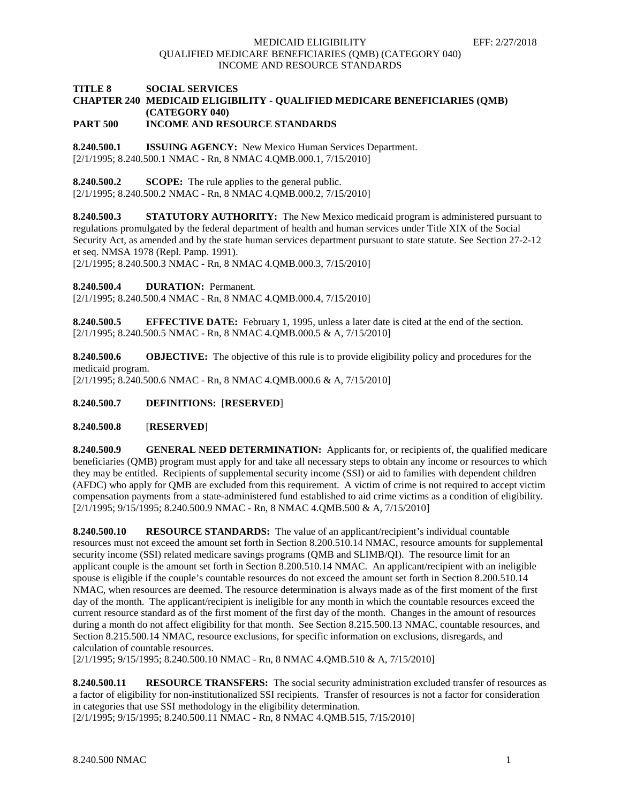### MEDICAID ELIGIBILITY EFF: 2/27/2018 QUALIFIED MEDICARE BENEFICIARIES (QMB) (CATEGORY 040) INCOME AND RESOURCE STANDARDS

## **TITLE 8 SOCIAL SERVICES CHAPTER 240 MEDICAID ELIGIBILITY - QUALIFIED MEDICARE BENEFICIARIES (QMB) (CATEGORY 040)**

**PART 500 INCOME AND RESOURCE STANDARDS**

**8.240.500.1 ISSUING AGENCY:** New Mexico Human Services Department. [2/1/1995; 8.240.500.1 NMAC - Rn, 8 NMAC 4.QMB.000.1, 7/15/2010]

**8.240.500.2 SCOPE:** The rule applies to the general public. [2/1/1995; 8.240.500.2 NMAC - Rn, 8 NMAC 4.QMB.000.2, 7/15/2010]

**8.240.500.3 STATUTORY AUTHORITY:** The New Mexico medicaid program is administered pursuant to regulations promulgated by the federal department of health and human services under Title XIX of the Social Security Act, as amended and by the state human services department pursuant to state statute. See Section 27-2-12 et seq. NMSA 1978 (Repl. Pamp. 1991).

[2/1/1995; 8.240.500.3 NMAC - Rn, 8 NMAC 4.QMB.000.3, 7/15/2010]

**8.240.500.4 DURATION:** Permanent.

[2/1/1995; 8.240.500.4 NMAC - Rn, 8 NMAC 4.QMB.000.4, 7/15/2010]

**8.240.500.5 EFFECTIVE DATE:** February 1, 1995, unless a later date is cited at the end of the section. [2/1/1995; 8.240.500.5 NMAC - Rn, 8 NMAC 4.QMB.000.5 & A, 7/15/2010]

**8.240.500.6 OBJECTIVE:** The objective of this rule is to provide eligibility policy and procedures for the medicaid program. [2/1/1995; 8.240.500.6 NMAC - Rn, 8 NMAC 4.QMB.000.6 & A, 7/15/2010]

**8.240.500.7 DEFINITIONS:** [**RESERVED**]

### **8.240.500.8** [**RESERVED**]

**8.240.500.9 GENERAL NEED DETERMINATION:** Applicants for, or recipients of, the qualified medicare beneficiaries (QMB) program must apply for and take all necessary steps to obtain any income or resources to which they may be entitled. Recipients of supplemental security income (SSI) or aid to families with dependent children (AFDC) who apply for QMB are excluded from this requirement. A victim of crime is not required to accept victim compensation payments from a state-administered fund established to aid crime victims as a condition of eligibility. [2/1/1995; 9/15/1995; 8.240.500.9 NMAC - Rn, 8 NMAC 4.QMB.500 & A, 7/15/2010]

**8.240.500.10 RESOURCE STANDARDS:** The value of an applicant/recipient's individual countable resources must not exceed the amount set forth in Section 8.200.510.14 NMAC, resource amounts for supplemental security income (SSI) related medicare savings programs (QMB and SLIMB/QI). The resource limit for an applicant couple is the amount set forth in Section 8.200.510.14 NMAC. An applicant/recipient with an ineligible spouse is eligible if the couple's countable resources do not exceed the amount set forth in Section 8.200.510.14 NMAC, when resources are deemed. The resource determination is always made as of the first moment of the first day of the month. The applicant/recipient is ineligible for any month in which the countable resources exceed the current resource standard as of the first moment of the first day of the month. Changes in the amount of resources during a month do not affect eligibility for that month. See Section 8.215.500.13 NMAC, countable resources, and Section 8.215.500.14 NMAC, resource exclusions, for specific information on exclusions, disregards, and calculation of countable resources.

[2/1/1995; 9/15/1995; 8.240.500.10 NMAC - Rn, 8 NMAC 4.QMB.510 & A, 7/15/2010]

**8.240.500.11 RESOURCE TRANSFERS:** The social security administration excluded transfer of resources as a factor of eligibility for non-institutionalized SSI recipients. Transfer of resources is not a factor for consideration in categories that use SSI methodology in the eligibility determination.

[2/1/1995; 9/15/1995; 8.240.500.11 NMAC - Rn, 8 NMAC 4.QMB.515, 7/15/2010]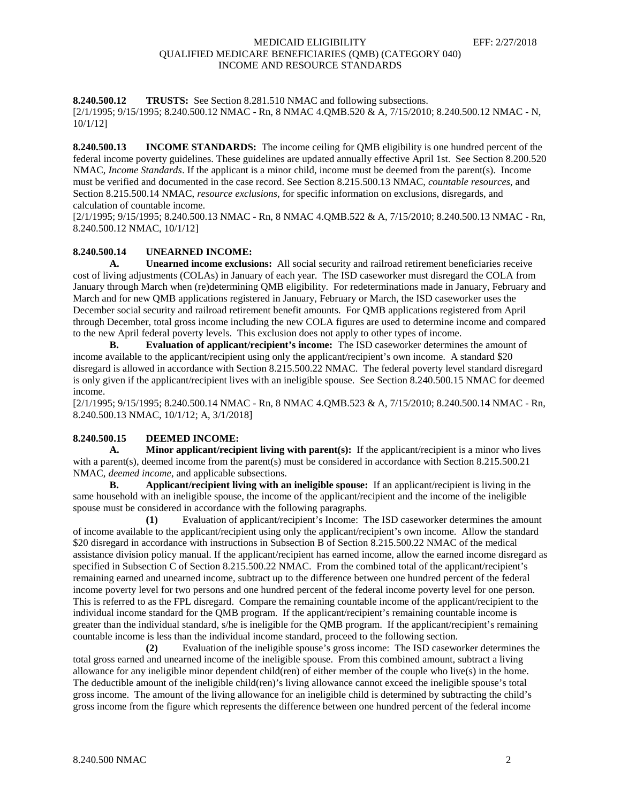### MEDICAID ELIGIBILITY EFF: 2/27/2018 QUALIFIED MEDICARE BENEFICIARIES (QMB) (CATEGORY 040) INCOME AND RESOURCE STANDARDS

**8.240.500.12 TRUSTS:** See Section 8.281.510 NMAC and following subsections. [2/1/1995; 9/15/1995; 8.240.500.12 NMAC - Rn, 8 NMAC 4.QMB.520 & A, 7/15/2010; 8.240.500.12 NMAC - N, 10/1/12]

**8.240.500.13 INCOME STANDARDS:** The income ceiling for QMB eligibility is one hundred percent of the federal income poverty guidelines. These guidelines are updated annually effective April 1st. See Section 8.200.520 NMAC, *Income Standards*. If the applicant is a minor child, income must be deemed from the parent(s). Income must be verified and documented in the case record. See Section 8.215.500.13 NMAC, *countable resources*, and Section 8.215.500.14 NMAC, *resource exclusions*, for specific information on exclusions, disregards, and calculation of countable income.

[2/1/1995; 9/15/1995; 8.240.500.13 NMAC - Rn, 8 NMAC 4.QMB.522 & A, 7/15/2010; 8.240.500.13 NMAC - Rn, 8.240.500.12 NMAC, 10/1/12]

# **8.240.500.14 UNEARNED INCOME:**

**A. Unearned income exclusions:** All social security and railroad retirement beneficiaries receive cost of living adjustments (COLAs) in January of each year. The ISD caseworker must disregard the COLA from January through March when (re)determining QMB eligibility. For redeterminations made in January, February and March and for new QMB applications registered in January, February or March, the ISD caseworker uses the December social security and railroad retirement benefit amounts. For QMB applications registered from April through December, total gross income including the new COLA figures are used to determine income and compared to the new April federal poverty levels. This exclusion does not apply to other types of income.

**B. Evaluation of applicant/recipient's income:** The ISD caseworker determines the amount of income available to the applicant/recipient using only the applicant/recipient's own income. A standard \$20 disregard is allowed in accordance with Section 8.215.500.22 NMAC. The federal poverty level standard disregard is only given if the applicant/recipient lives with an ineligible spouse. See Section 8.240.500.15 NMAC for deemed income.

[2/1/1995; 9/15/1995; 8.240.500.14 NMAC - Rn, 8 NMAC 4.QMB.523 & A, 7/15/2010; 8.240.500.14 NMAC - Rn, 8.240.500.13 NMAC, 10/1/12; A, 3/1/2018]

### **8.240.500.15 DEEMED INCOME:**

**A. Minor applicant/recipient living with parent(s):** If the applicant/recipient is a minor who lives with a parent(s), deemed income from the parent(s) must be considered in accordance with Section 8.215.500.21 NMAC, *deemed income*, and applicable subsections.

**B. Applicant/recipient living with an ineligible spouse:** If an applicant/recipient is living in the same household with an ineligible spouse, the income of the applicant/recipient and the income of the ineligible spouse must be considered in accordance with the following paragraphs.

**(1)** Evaluation of applicant/recipient's Income: The ISD caseworker determines the amount of income available to the applicant/recipient using only the applicant/recipient's own income. Allow the standard \$20 disregard in accordance with instructions in Subsection B of Section 8.215.500.22 NMAC of the medical assistance division policy manual. If the applicant/recipient has earned income, allow the earned income disregard as specified in Subsection C of Section 8.215.500.22 NMAC. From the combined total of the applicant/recipient's remaining earned and unearned income, subtract up to the difference between one hundred percent of the federal income poverty level for two persons and one hundred percent of the federal income poverty level for one person. This is referred to as the FPL disregard. Compare the remaining countable income of the applicant/recipient to the individual income standard for the QMB program. If the applicant/recipient's remaining countable income is greater than the individual standard, s/he is ineligible for the QMB program. If the applicant/recipient's remaining countable income is less than the individual income standard, proceed to the following section.

**(2)** Evaluation of the ineligible spouse's gross income: The ISD caseworker determines the total gross earned and unearned income of the ineligible spouse. From this combined amount, subtract a living allowance for any ineligible minor dependent child(ren) of either member of the couple who live(s) in the home. The deductible amount of the ineligible child(ren)'s living allowance cannot exceed the ineligible spouse's total gross income. The amount of the living allowance for an ineligible child is determined by subtracting the child's gross income from the figure which represents the difference between one hundred percent of the federal income